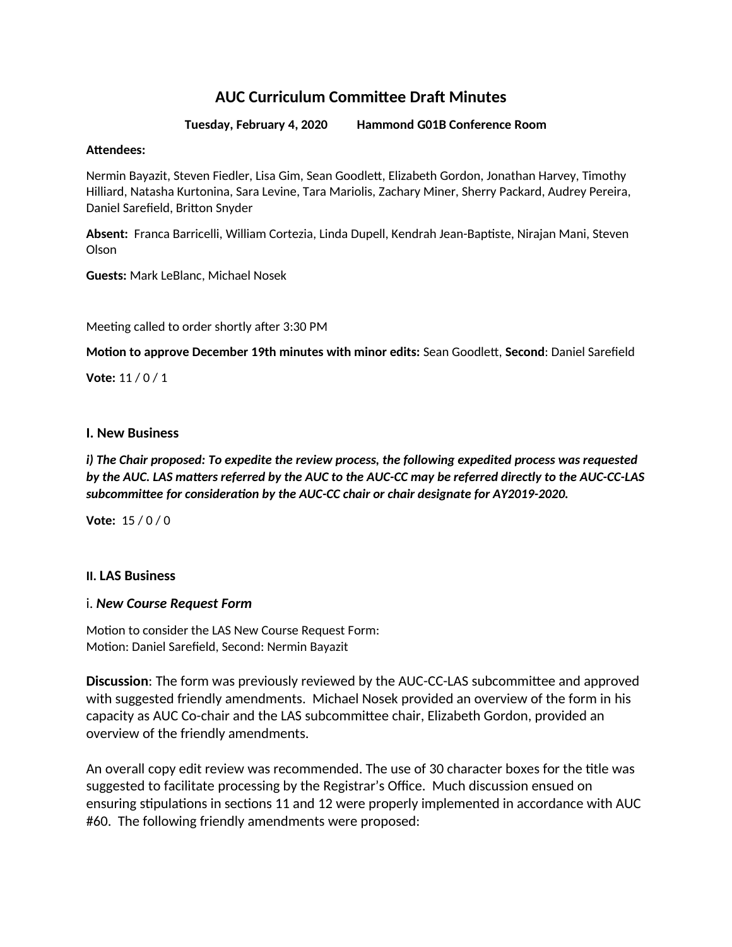# **AUC Curriculum Committee Draft Minutes**

**Tuesday, February 4, 2020 Hammond G01B Conference Room**

#### **Attendees:**

Nermin Bayazit, Steven Fiedler, Lisa Gim, Sean Goodlett, Elizabeth Gordon, Jonathan Harvey, Timothy Hilliard, Natasha Kurtonina, Sara Levine, Tara Mariolis, Zachary Miner, Sherry Packard, Audrey Pereira, Daniel Sarefield, Britton Snyder

**Absent:** Franca Barricelli, William Cortezia, Linda Dupell, Kendrah Jean-Baptiste, Nirajan Mani, Steven Olson

**Guests:** Mark LeBlanc, Michael Nosek

Meeting called to order shortly after 3:30 PM

**Motion to approve December 19th minutes with minor edits:** Sean Goodlett, **Second**: Daniel Sarefield

**Vote:** 11 / 0 / 1

### **I. New Business**

*i) The Chair proposed: To expedite the review process, the following expedited process was requested by the AUC. LAS matters referred by the AUC to the AUC-CC may be referred directly to the AUC-CC-LAS subcommittee for consideration by the AUC-CC chair or chair designate for AY2019-2020.*

**Vote:** 15 / 0 / 0

### **II. LAS Business**

### i. *New Course Request Form*

Motion to consider the LAS New Course Request Form: Motion: Daniel Sarefield, Second: Nermin Bayazit

**Discussion**: The form was previously reviewed by the AUC-CC-LAS subcommittee and approved with suggested friendly amendments. Michael Nosek provided an overview of the form in his capacity as AUC Co-chair and the LAS subcommittee chair, Elizabeth Gordon, provided an overview of the friendly amendments.

An overall copy edit review was recommended. The use of 30 character boxes for the title was suggested to facilitate processing by the Registrar's Office. Much discussion ensued on ensuring stipulations in sections 11 and 12 were properly implemented in accordance with AUC #60. The following friendly amendments were proposed: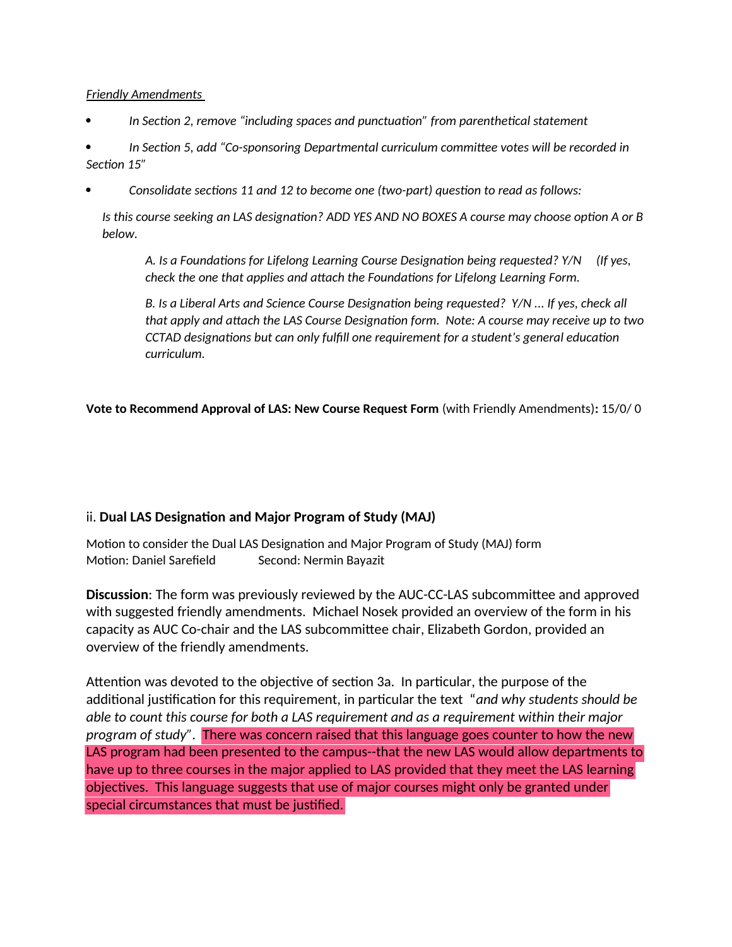## *Friendly Amendments*

*In Section 2, remove "including spaces and punctuation" from parenthetical statement*

 *In Section 5, add "Co-sponsoring Departmental curriculum committee votes will be recorded in Section 15"*

*Consolidate sections 11 and 12 to become one (two-part) question to read as follows:*

*Is this course seeking an LAS designation? ADD YES AND NO BOXES A course may choose option A or B below.*

*A. Is a Foundations for Lifelong Learning Course Designation being requested? Y/N (If yes, check the one that applies and attach the Foundations for Lifelong Learning Form.* 

*B. Is a Liberal Arts and Science Course Designation being requested? Y/N ... If yes, check all that apply and attach the LAS Course Designation form. Note: A course may receive up to two CCTAD designations but can only fulfill one requirement for a student's general education curriculum.*

**Vote to Recommend Approval of LAS: New Course Request Form** (with Friendly Amendments)**:** 15/0/ 0

# ii. **Dual LAS Designation and Major Program of Study (MAJ)**

Motion to consider the Dual LAS Designation and Major Program of Study (MAJ) form Motion: Daniel Sarefield Second: Nermin Bayazit

**Discussion**: The form was previously reviewed by the AUC-CC-LAS subcommittee and approved with suggested friendly amendments. Michael Nosek provided an overview of the form in his capacity as AUC Co-chair and the LAS subcommittee chair, Elizabeth Gordon, provided an overview of the friendly amendments.

Attention was devoted to the objective of section 3a. In particular, the purpose of the additional justification for this requirement, in particular the text "*and why students should be able to count this course for both a LAS requirement and as a requirement within their major program of study".* There was concern raised that this language goes counter to how the new LAS program had been presented to the campus--that the new LAS would allow departments to have up to three courses in the major applied to LAS provided that they meet the LAS learning objectives. This language suggests that use of major courses might only be granted under special circumstances that must be justified.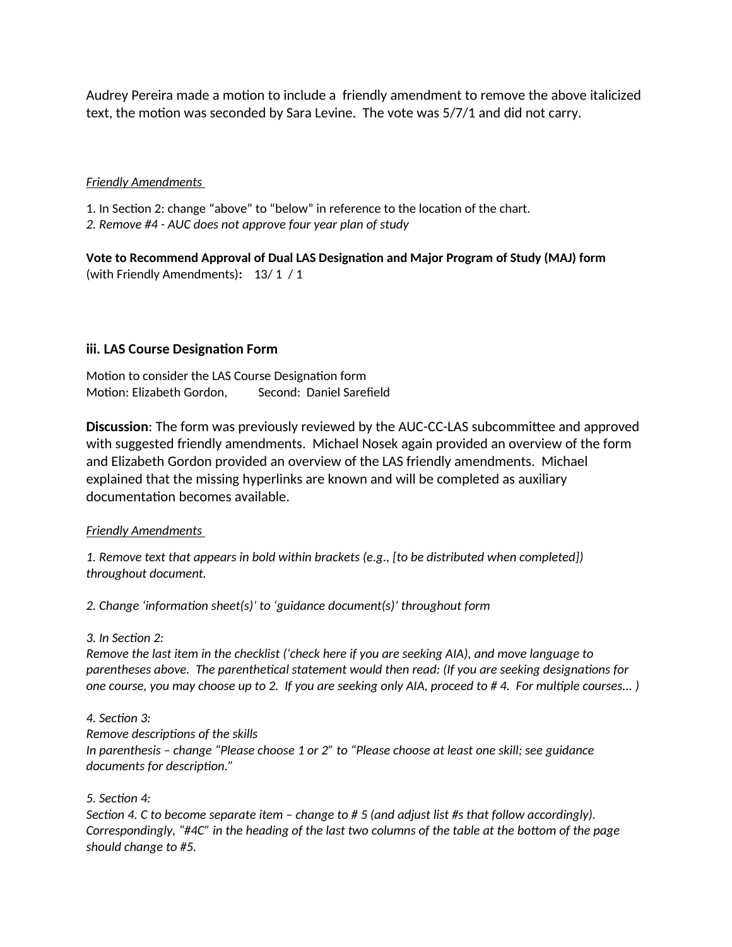Audrey Pereira made a motion to include a friendly amendment to remove the above italicized text, the motion was seconded by Sara Levine. The vote was 5/7/1 and did not carry.

#### *Friendly Amendments*

1. In Section 2: change "above" to "below" in reference to the location of the chart. *2. Remove #4 - AUC does not approve four year plan of study*

**Vote to Recommend Approval of Dual LAS Designation and Major Program of Study (MAJ) form**  (with Friendly Amendments)**:** 13/ 1 / 1

## **iii. LAS Course Designation Form**

Motion to consider the LAS Course Designation form Motion: Elizabeth Gordon, Second: Daniel Sarefield

**Discussion**: The form was previously reviewed by the AUC-CC-LAS subcommittee and approved with suggested friendly amendments. Michael Nosek again provided an overview of the form and Elizabeth Gordon provided an overview of the LAS friendly amendments. Michael explained that the missing hyperlinks are known and will be completed as auxiliary documentation becomes available.

### *Friendly Amendments*

*1. Remove text that appears in bold within brackets (e.g., [to be distributed when completed]) throughout document.*

*2. Change 'information sheet(s)' to 'guidance document(s)' throughout form*

#### *3. In Section 2:*

*Remove the last item in the checklist ('check here if you are seeking AIA), and move language to parentheses above. The parenthetical statement would then read: (If you are seeking designations for one course, you may choose up to 2. If you are seeking only AIA, proceed to # 4. For multiple courses... )*

#### *4. Section 3:*

*Remove descriptions of the skills*

*In parenthesis – change "Please choose 1 or 2" to "Please choose at least one skill; see guidance documents for description."*

### *5. Section 4:*

*Section 4. C to become separate item – change to # 5 (and adjust list #s that follow accordingly). Correspondingly, "#4C" in the heading of the last two columns of the table at the bottom of the page should change to #5.*